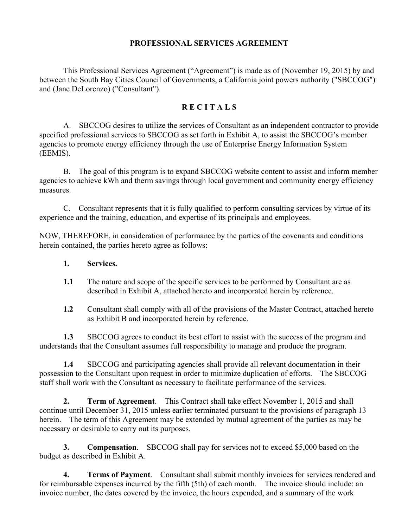#### **PROFESSIONAL SERVICES AGREEMENT**

This Professional Services Agreement ("Agreement") is made as of (November 19, 2015) by and between the South Bay Cities Council of Governments, a California joint powers authority ("SBCCOG") and (Jane DeLorenzo) ("Consultant").

#### **R E C I T A L S**

A. SBCCOG desires to utilize the services of Consultant as an independent contractor to provide specified professional services to SBCCOG as set forth in Exhibit A, to assist the SBCCOG's member agencies to promote energy efficiency through the use of Enterprise Energy Information System (EEMIS).

B. The goal of this program is to expand SBCCOG website content to assist and inform member agencies to achieve kWh and therm savings through local government and community energy efficiency measures.

C. Consultant represents that it is fully qualified to perform consulting services by virtue of its experience and the training, education, and expertise of its principals and employees.

NOW, THEREFORE, in consideration of performance by the parties of the covenants and conditions herein contained, the parties hereto agree as follows:

- **1. Services.**
- **1.1** The nature and scope of the specific services to be performed by Consultant are as described in Exhibit A, attached hereto and incorporated herein by reference.
- **1.2** Consultant shall comply with all of the provisions of the Master Contract, attached hereto as Exhibit B and incorporated herein by reference.

**1.3** SBCCOG agrees to conduct its best effort to assist with the success of the program and understands that the Consultant assumes full responsibility to manage and produce the program.

**1.4** SBCCOG and participating agencies shall provide all relevant documentation in their possession to the Consultant upon request in order to minimize duplication of efforts. The SBCCOG staff shall work with the Consultant as necessary to facilitate performance of the services.

**2. Term of Agreement**. This Contract shall take effect November 1, 2015 and shall continue until December 31, 2015 unless earlier terminated pursuant to the provisions of paragraph 13 herein. The term of this Agreement may be extended by mutual agreement of the parties as may be necessary or desirable to carry out its purposes.

**3. Compensation**. SBCCOG shall pay for services not to exceed \$5,000 based on the budget as described in Exhibit A.

**4. Terms of Payment**. Consultant shall submit monthly invoices for services rendered and for reimbursable expenses incurred by the fifth (5th) of each month. The invoice should include: an invoice number, the dates covered by the invoice, the hours expended, and a summary of the work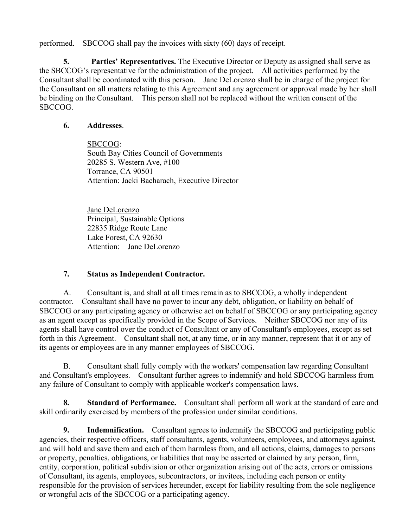performed. SBCCOG shall pay the invoices with sixty (60) days of receipt.

**5. Parties' Representatives.** The Executive Director or Deputy as assigned shall serve as the SBCCOG's representative for the administration of the project. All activities performed by the Consultant shall be coordinated with this person. Jane DeLorenzo shall be in charge of the project for the Consultant on all matters relating to this Agreement and any agreement or approval made by her shall be binding on the Consultant. This person shall not be replaced without the written consent of the SBCCOG.

#### **6. Addresses**.

SBCCOG: South Bay Cities Council of Governments 20285 S. Western Ave, #100 Torrance, CA 90501 Attention: Jacki Bacharach, Executive Director

Jane DeLorenzo Principal, Sustainable Options 22835 Ridge Route Lane Lake Forest, CA 92630 Attention: Jane DeLorenzo

#### **7. Status as Independent Contractor.**

A. Consultant is, and shall at all times remain as to SBCCOG, a wholly independent contractor. Consultant shall have no power to incur any debt, obligation, or liability on behalf of SBCCOG or any participating agency or otherwise act on behalf of SBCCOG or any participating agency as an agent except as specifically provided in the Scope of Services. Neither SBCCOG nor any of its agents shall have control over the conduct of Consultant or any of Consultant's employees, except as set forth in this Agreement. Consultant shall not, at any time, or in any manner, represent that it or any of its agents or employees are in any manner employees of SBCCOG.

B. Consultant shall fully comply with the workers' compensation law regarding Consultant and Consultant's employees. Consultant further agrees to indemnify and hold SBCCOG harmless from any failure of Consultant to comply with applicable worker's compensation laws.

**8. Standard of Performance.** Consultant shall perform all work at the standard of care and skill ordinarily exercised by members of the profession under similar conditions.

**9. Indemnification.** Consultant agrees to indemnify the SBCCOG and participating public agencies, their respective officers, staff consultants, agents, volunteers, employees, and attorneys against, and will hold and save them and each of them harmless from, and all actions, claims, damages to persons or property, penalties, obligations, or liabilities that may be asserted or claimed by any person, firm, entity, corporation, political subdivision or other organization arising out of the acts, errors or omissions of Consultant, its agents, employees, subcontractors, or invitees, including each person or entity responsible for the provision of services hereunder, except for liability resulting from the sole negligence or wrongful acts of the SBCCOG or a participating agency.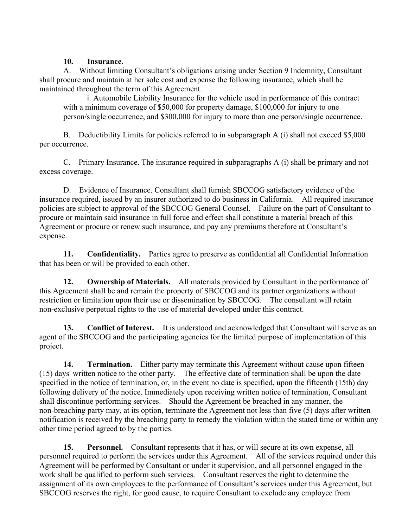#### **10. Insurance.**

A. Without limiting Consultant's obligations arising under Section 9 Indemnity, Consultant shall procure and maintain at her sole cost and expense the following insurance, which shall be maintained throughout the term of this Agreement.

i. Automobile Liability Insurance for the vehicle used in performance of this contract with a minimum coverage of \$50,000 for property damage, \$100,000 for injury to one person/single occurrence, and \$300,000 for injury to more than one person/single occurrence.

B. Deductibility Limits for policies referred to in subparagraph A (i) shall not exceed \$5,000 per occurrence.

C. Primary Insurance. The insurance required in subparagraphs A (i) shall be primary and not excess coverage.

D. Evidence of Insurance. Consultant shall furnish SBCCOG satisfactory evidence of the insurance required, issued by an insurer authorized to do business in California. All required insurance policies are subject to approval of the SBCCOG General Counsel. Failure on the part of Consultant to procure or maintain said insurance in full force and effect shall constitute a material breach of this Agreement or procure or renew such insurance, and pay any premiums therefore at Consultant's expense.

**11. Confidentiality.** Parties agree to preserve as confidential all Confidential Information that has been or will be provided to each other.

**12. Ownership of Materials.** All materials provided by Consultant in the performance of this Agreement shall be and remain the property of SBCCOG and its partner organizations without restriction or limitation upon their use or dissemination by SBCCOG. The consultant will retain non-exclusive perpetual rights to the use of material developed under this contract.

**13.** Conflict of Interest. It is understood and acknowledged that Consultant will serve as an agent of the SBCCOG and the participating agencies for the limited purpose of implementation of this project.

**14. Termination.** Either party may terminate this Agreement without cause upon fifteen (15) days' written notice to the other party. The effective date of termination shall be upon the date specified in the notice of termination, or, in the event no date is specified, upon the fifteenth (15th) day following delivery of the notice. Immediately upon receiving written notice of termination, Consultant shall discontinue performing services. Should the Agreement be breached in any manner, the non-breaching party may, at its option, terminate the Agreement not less than five (5) days after written notification is received by the breaching party to remedy the violation within the stated time or within any other time period agreed to by the parties.

**15. Personnel.** Consultant represents that it has, or will secure at its own expense, all personnel required to perform the services under this Agreement. All of the services required under this Agreement will be performed by Consultant or under it supervision, and all personnel engaged in the work shall be qualified to perform such services. Consultant reserves the right to determine the assignment of its own employees to the performance of Consultant's services under this Agreement, but SBCCOG reserves the right, for good cause, to require Consultant to exclude any employee from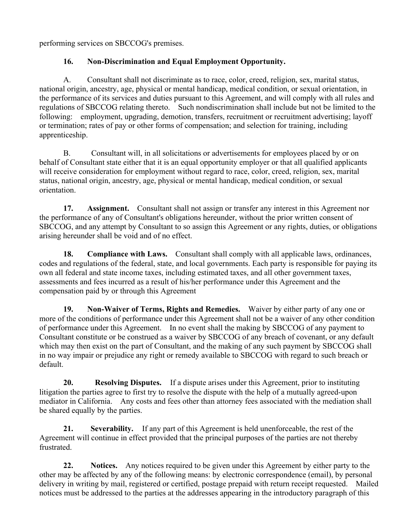performing services on SBCCOG's premises.

### **16. Non-Discrimination and Equal Employment Opportunity.**

A. Consultant shall not discriminate as to race, color, creed, religion, sex, marital status, national origin, ancestry, age, physical or mental handicap, medical condition, or sexual orientation, in the performance of its services and duties pursuant to this Agreement, and will comply with all rules and regulations of SBCCOG relating thereto. Such nondiscrimination shall include but not be limited to the following: employment, upgrading, demotion, transfers, recruitment or recruitment advertising; layoff or termination; rates of pay or other forms of compensation; and selection for training, including apprenticeship.

B. Consultant will, in all solicitations or advertisements for employees placed by or on behalf of Consultant state either that it is an equal opportunity employer or that all qualified applicants will receive consideration for employment without regard to race, color, creed, religion, sex, marital status, national origin, ancestry, age, physical or mental handicap, medical condition, or sexual orientation.

**17. Assignment.** Consultant shall not assign or transfer any interest in this Agreement nor the performance of any of Consultant's obligations hereunder, without the prior written consent of SBCCOG, and any attempt by Consultant to so assign this Agreement or any rights, duties, or obligations arising hereunder shall be void and of no effect.

**18. Compliance with Laws.** Consultant shall comply with all applicable laws, ordinances, codes and regulations of the federal, state, and local governments. Each party is responsible for paying its own all federal and state income taxes, including estimated taxes, and all other government taxes, assessments and fees incurred as a result of his/her performance under this Agreement and the compensation paid by or through this Agreement

**19. Non-Waiver of Terms, Rights and Remedies.** Waiver by either party of any one or more of the conditions of performance under this Agreement shall not be a waiver of any other condition of performance under this Agreement. In no event shall the making by SBCCOG of any payment to Consultant constitute or be construed as a waiver by SBCCOG of any breach of covenant, or any default which may then exist on the part of Consultant, and the making of any such payment by SBCCOG shall in no way impair or prejudice any right or remedy available to SBCCOG with regard to such breach or default.

**20. Resolving Disputes.** If a dispute arises under this Agreement, prior to instituting litigation the parties agree to first try to resolve the dispute with the help of a mutually agreed-upon mediator in California. Any costs and fees other than attorney fees associated with the mediation shall be shared equally by the parties.

**21. Severability.** If any part of this Agreement is held unenforceable, the rest of the Agreement will continue in effect provided that the principal purposes of the parties are not thereby frustrated.

**22. Notices.** Any notices required to be given under this Agreement by either party to the other may be affected by any of the following means: by electronic correspondence (email), by personal delivery in writing by mail, registered or certified, postage prepaid with return receipt requested. Mailed notices must be addressed to the parties at the addresses appearing in the introductory paragraph of this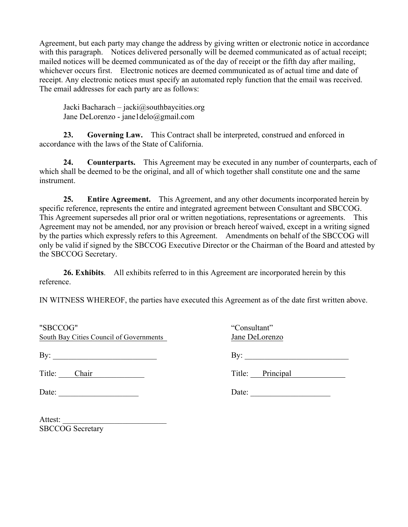Agreement, but each party may change the address by giving written or electronic notice in accordance with this paragraph. Notices delivered personally will be deemed communicated as of actual receipt; mailed notices will be deemed communicated as of the day of receipt or the fifth day after mailing, whichever occurs first. Electronic notices are deemed communicated as of actual time and date of receipt. Any electronic notices must specify an automated reply function that the email was received. The email addresses for each party are as follows:

Jacki Bacharach – jacki@southbaycities.org Jane DeLorenzo - jane1delo@gmail.com

**23. Governing Law.** This Contract shall be interpreted, construed and enforced in accordance with the laws of the State of California.

**24. Counterparts.** This Agreement may be executed in any number of counterparts, each of which shall be deemed to be the original, and all of which together shall constitute one and the same instrument.

**25. Entire Agreement.** This Agreement, and any other documents incorporated herein by specific reference, represents the entire and integrated agreement between Consultant and SBCCOG. This Agreement supersedes all prior oral or written negotiations, representations or agreements. This Agreement may not be amended, nor any provision or breach hereof waived, except in a writing signed by the parties which expressly refers to this Agreement. Amendments on behalf of the SBCCOG will only be valid if signed by the SBCCOG Executive Director or the Chairman of the Board and attested by the SBCCOG Secretary.

**26. Exhibits**. All exhibits referred to in this Agreement are incorporated herein by this reference.

IN WITNESS WHEREOF, the parties have executed this Agreement as of the date first written above.

| "SBCCOG"<br>South Bay Cities Council of Governments | "Consultant"<br>Jane DeLorenzo |
|-----------------------------------------------------|--------------------------------|
| By: $\qquad \qquad$                                 |                                |
| Title: Chair                                        | Title: <u>Principal</u>        |
| Date:                                               | Date: $\qquad \qquad$          |
|                                                     |                                |

Attest: SBCCOG Secretary